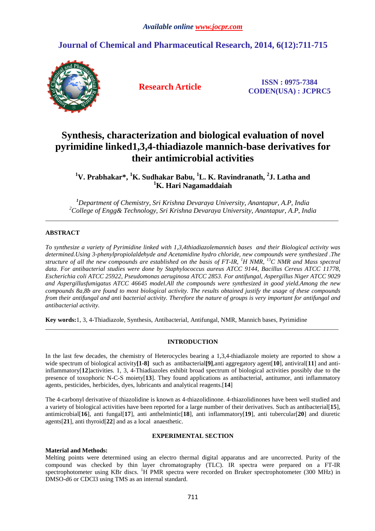# **Journal of Chemical and Pharmaceutical Research, 2014, 6(12):711-715**



**Research Article ISSN : 0975-7384 CODEN(USA) : JCPRC5**

# **Synthesis, characterization and biological evaluation of novel pyrimidine linked1,3,4-thiadiazole mannich-base derivatives for their antimicrobial activities**

**<sup>1</sup>V. Prabhakar\*, <sup>1</sup>K. Sudhakar Babu, <sup>1</sup>L. K. Ravindranath, <sup>2</sup> J. Latha and <sup>1</sup>K. Hari Nagamaddaiah** 

*<sup>1</sup>Department of Chemistry, Sri Krishna Devaraya University, Anantapur, A.P, India <sup>2</sup>College of Engg& Technology, Sri Krishna Devaraya University, Anantapur, A.P, India*  \_\_\_\_\_\_\_\_\_\_\_\_\_\_\_\_\_\_\_\_\_\_\_\_\_\_\_\_\_\_\_\_\_\_\_\_\_\_\_\_\_\_\_\_\_\_\_\_\_\_\_\_\_\_\_\_\_\_\_\_\_\_\_\_\_\_\_\_\_\_\_\_\_\_\_\_\_\_\_\_\_\_\_\_\_\_\_\_\_\_\_\_\_

# **ABSTRACT**

*To synthesize a variety of Pyrimidine linked with 1,3,4thiadiazolemannich bases and their Biological activity was determined.Using 3-phenylpropiolaldehyde and Acetamidine hydro chloride, new compounds were synthesized .The structure of all the new compounds are established on the basis of FT-IR, <sup>1</sup>H NMR, <sup>13</sup>C NMR and Mass spectral data. For antibacterial studies were done by Staphylococcus aureus ATCC 9144, Bacillus Cereus ATCC 11778, Escherichia coli ATCC 25922, Pseudomonas aeruginosa ATCC 2853. For antifungal, Aspergillus Niger ATCC 9029 and Aspergillusfumigatus ATCC 46645 model.All the compounds were synthesized in good yield.Among the new compounds 8a,8b are found to most biological activity. The results obtained justify the usage of these compounds from their antifungal and anti bacterial activity. Therefore the nature of groups is very important for antifungal and antibacterial activity.* 

**Key words:**1, 3, 4-Thiadiazole, Synthesis, Antibacterial, Antifungal, NMR, Mannich bases, Pyrimidine

# **INTRODUCTION**

\_\_\_\_\_\_\_\_\_\_\_\_\_\_\_\_\_\_\_\_\_\_\_\_\_\_\_\_\_\_\_\_\_\_\_\_\_\_\_\_\_\_\_\_\_\_\_\_\_\_\_\_\_\_\_\_\_\_\_\_\_\_\_\_\_\_\_\_\_\_\_\_\_\_\_\_\_\_\_\_\_\_\_\_\_\_\_\_\_\_\_\_\_

In the last few decades, the chemistry of Heterocycles bearing a 1,3,4-thiadiazole moiety are reported to show a wide spectrum of biological activity**[1-8]** such as antibacterial**[9]**,anti aggregatory agent[**10**], antiviral[**11**] and antiinflammatory[**12**]activities. 1, 3, 4-Thiadiazoles exhibit broad spectrum of biological activities possibly due to the presence of toxophoric N-C-S moiety[**13**]. They found applications as antibacterial, antitumor, anti inflammatory agents, pesticides, herbicides, dyes, lubricants and analytical reagents.[**14**]

The 4-carbonyl derivative of thiazolidine is known as 4-thiazolidinone. 4-thiazolidinones have been well studied and a variety of biological activities have been reported for a large number of their derivatives. Such as antibacterial[**15**], antimicrobial[**16**], anti fungal[**17**], anti anthelmintic[**18**], anti inflammatory[**19**], anti tubercular[**20**] and diuretic agents[**21**], anti thyroid[**22**] and as a local anaesthetic.

#### **EXPERIMENTAL SECTION**

# **Material and Methods:**

Melting points were determined using an electro thermal digital apparatus and are uncorrected. Purity of the compound was checked by thin layer chromatography (TLC). IR spectra were prepared on a FT-IR spectrophotometer using KBr discs. <sup>1</sup>H PMR spectra were recorded on Bruker spectrophotometer (300 MHz) in DMSO-d6 or CDCl3 using TMS as an internal standard.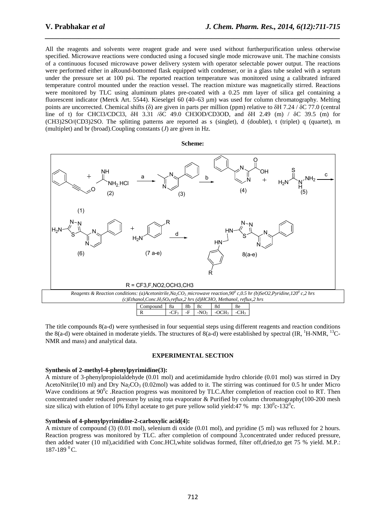All the reagents and solvents were reagent grade and were used without furtherpurification unless otherwise specified. Microwave reactions were conducted using a focused single mode microwave unit. The machine consists of a continuous focused microwave power delivery system with operator selectable power output. The reactions were performed either in aRound-bottomed flask equipped with condenser, or in a glass tube sealed with a septum under the pressure set at 100 psi. The reported reaction temperature was monitored using a calibrated infrared temperature control mounted under the reaction vessel. The reaction mixture was magnetically stirred. Reactions were monitored by TLC using aluminum plates pre-coated with a 0.25 mm layer of silica gel containing a fluorescent indicator (Merck Art. 5544). Kieselgel 60 (40–63 µm) was used for column chromatography. Melting points are uncorrected. Chemical shifts ( $\delta$ ) are given in parts per million (ppm) relative to  $\delta$ H 7.24 /  $\delta$ C 77.0 (central line of t) for CHCl3/CDCl3, δH 3.31 /δC 49.0 CH3OD/CD3OD, and δΗ 2.49 (m) / δC 39.5 (m) for (CH3)2SO/(CD3)2SO. The splitting patterns are reported as s (singlet), d (doublet), t (triplet) q (quartet), m (multiplet) and br (broad).Coupling constants (*J*) are given in Hz.

*\_\_\_\_\_\_\_\_\_\_\_\_\_\_\_\_\_\_\_\_\_\_\_\_\_\_\_\_\_\_\_\_\_\_\_\_\_\_\_\_\_\_\_\_\_\_\_\_\_\_\_\_\_\_\_\_\_\_\_\_\_\_\_\_\_\_\_\_\_\_\_\_\_\_\_\_\_\_*





The title compounds 8(a-d) were synthesised in four sequential steps using different reagents and reaction conditions the 8(a-d) were obtained in moderate yields. The structures of 8(a-d) were established by spectral (IR, <sup>1</sup>H-NMR, <sup>13</sup>C-NMR and mass) and analytical data.

#### **EXPERIMENTAL SECTION**

#### **Synthesis of 2-methyl-4-phenylpyrimidine(3):**

A mixture of 3-phenylpropiolaldehyde (0.01 mol) and acetimidamide hydro chloride (0.01 mol) was stirred in Dry AcetoNitrile(10 ml) and Dry Na<sub>2</sub>CO<sub>3</sub> (0.02mol) was added to it. The stirring was continued for 0.5 hr under Micro Wave conditions at  $90^{\circ}$ c .Reaction progress was monitored by TLC.After completion of reaction cool to RT. Then concentrated under reduced pressure by using rota evaporator & Purified by column chromatography(100-200 mesh size silica) with elution of 10% Ethyl acetate to get pure yellow solid yield: 47 % mp:  $130^{\circ}$ c- $132^{\circ}$ c.

#### **Synthesis of 4-phenylpyrimidine-2-carboxylic acid(4):**

A mixture of compound (3) (0.01 mol), selenium di oxide (0.01 mol), and pyridine (5 ml) was refluxed for 2 hours. Reaction progress was monitored by TLC. after completion of compound 3,concentrated under reduced pressure, then added water (10 ml),acidified with Conc.HCl,white solidwas formed, filter off,dried,to get 75 % yield. M.P.:  $187-189$ <sup>0</sup>C.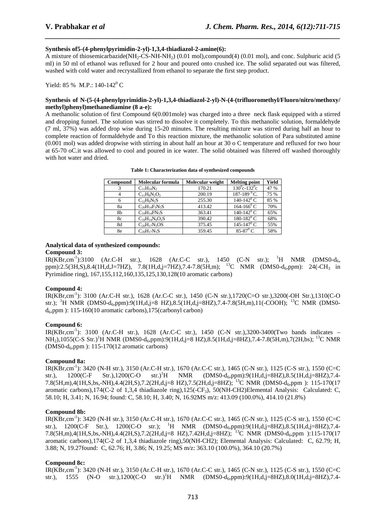#### **Synthesis of5-(4-phenylpyrimidin-2-yl)-1,3,4-thiadiazol-2-amine(6):**

A mixture of thiosemicarbazide(NH<sub>2</sub>-CS-NH-NH<sub>2</sub>) (0.01 mol),compound(4) (0.01 mol), and conc. Sulphuric acid (5 ml) in 50 ml of ethanol was refluxed for 2 hour and poured onto crushed ice. The solid separated out was filtered, washed with cold water and recrystallized from ethanol to separate the first step product.

*\_\_\_\_\_\_\_\_\_\_\_\_\_\_\_\_\_\_\_\_\_\_\_\_\_\_\_\_\_\_\_\_\_\_\_\_\_\_\_\_\_\_\_\_\_\_\_\_\_\_\_\_\_\_\_\_\_\_\_\_\_\_\_\_\_\_\_\_\_\_\_\_\_\_\_\_\_\_*

Yield: 85 % M.P.:  $140-142^{\circ}$  C

#### **Synthesis of N-(5-(4-phenylpyrimidin-2-yl)-1,3,4-thiadiazol-2-yl)-N-(4-(trifluoromethyl/Fluoro/nitro/methoxy/ methyl)phenyl)methanediamine (8 a-e):**

A methanolic solution of first Compound 6(0.001mole) was charged into a three neck flask equipped with a stirred and dropping funnel. The solution was stirred to dissolve it completely. To this methanolic solution, formaldehyde (7 ml, 37%) was added drop wise during 15-20 minutes. The resulting mixture was stirred during half an hour to complete reaction of formaldehyde and To this reaction mixture, the methanolic solution of Para substituted amine (0.001 mol) was added dropwise with stirring in about half an hour at 30 o C temperature and refluxed for two hour at 65-70 oC.it was allowed to cool and poured in ice water. The solid obtained was filtered off washed thoroughly with hot water and dried.

| Compound | Molecular formula     | Molecular weight | <b>Melting point</b>         | Yield |
|----------|-----------------------|------------------|------------------------------|-------|
|          | $C_{11}H_{10}N_2$     | 170.21           | $130^0$ c-132 <sup>0</sup> c | 47 %  |
| 4        | $C_{11}H_8N_2O_2$     | 200.19           | 187-189 $^{0}$ C.            | 75 %  |
| 6        | $C_{12}H_9N_5S$       | 255.30           | $140 - 142^{\circ}$ C        | 85 %  |
| 8a       | $C_{20}H_{14}F_3N_5S$ | 413.42           | $164 - 166^{\circ}$ C        | 70%   |
| 8b       | $C_{19}H_{14}FN_5S$   | 363.41           | 140-142 $^{\circ}$ C         | 65%   |
| 8c       | $C_{19}H_{14}N_6O_2S$ | 390.42           | 180-182 $\rm ^{0}$ C         | 68%   |
| 8d       | $C_{20}H_{17}N_5OS$   | 375.45           | 145-147 <sup>0</sup> C       | 55%   |
| 8e       | $C_{20}H_{17}N_5S$    | 359.45           | 85-87 $^{\circ}$ C           | 58%   |

**Table 1: Characterization data of synthesized compounds** 

#### **Analytical data of synthesized compounds: Compound 3:**

 $IR(KBr, cm^{-1})$ :3100 (Ar.C-H str.), 1628 (Ar.C-C str.), 1450 (C-N str.); <sup>1</sup>H NMR (DMS0-d<sub>6</sub>, ppm):2.5(3H,S),8.4(1H,d,J=7HZ), 7.8(1H,d,j=7HZ),7.4-7.8(5H,m); <sup>13</sup>C NMR (DMS0-d<sub>6</sub>,ppm): 24(-CH<sub>3</sub> in Pyrimidine ring), 167,155,112,160,135,125,130,128(10 aromatic carbons)

#### **Compound 4:**

IR(KBr,cm-1): 3100 (Ar.C-H str.), 1628 (Ar.C-C str.), 1450 (C-N str.),1720(C=O str.),3200(-OH Str.),1310(C-O str.); <sup>1</sup>H NMR (DMS0-d<sub>6</sub>,ppm):9(1H,d,j=8 HZ),8.5(1H,d,j=8HZ),7.4-7.8(5H,m),11(-COOH); <sup>13</sup>C NMR (DMS0 $d_6$ ,ppm ): 115-160(10 aromatic carbons), 175(carbonyl carbon)

#### **Compound 6:**

IR(KBr,cm-1): 3100 (Ar.C-H str.), 1628 (Ar.C-C str.), 1450 (C-N str.),3200-3400(Two bands indicates –  $NH<sub>2</sub>$ ,1055(C-S Str.)<sup>1</sup>H NMR (DMS0-d<sub>6</sub>,ppm):9(1H,d,j=8 HZ),8.5(1H,d,j=8HZ),7.4-7.8(5H,m),7(2H,bs); <sup>13</sup>C NMR  $(DMS0-d_6, ppm)$ : 115-170(12 aromatic carbons)

#### **Compound 8a:**

IR(KBr,cm<sup>-1</sup>): 3420 (N-H str.), 3150 (Ar.C-H str.), 1670 (Ar.C-C str.), 1465 (C-N str.), 1125 (C-S str.), 1550 (C=C str.), 1200(C-F Str.), 1200(C-O str.)<sup>1</sup>H NMR (DMS0-d<sub>6</sub>,ppm):9(1H,d,j=8HZ),8.5(1H,d,j=8HZ),7.4str.), 1200(C-F Str.),1200(C-O str.)<sup>1</sup>H NMR (DMS0-d<sub>6</sub>,ppm):9(1H,d,j=8HZ),8.5(1H,d,j=8HZ),7.4-7.8(5H,m),4(1H,S,bs,-NH),4.4(2H,S),7.2(2H,d,j=8 HZ),7.5(2H,d,j=8HZ); <sup>13</sup>C NMR (DMS0-d<sub>6</sub>,ppm): 115-170(17 aromatic carbons),174(C-2 of 1,3,4 thiadiazole ring),125(-CF<sub>3</sub>), 50(NH-CH2)Elemental Analysis: Calculated: C, 58.10; H, 3.41; N, 16.94; found: C, 58.10; H, 3.40; N, 16.92MS m/z: 413.09 (100.0%), 414.10 (21.8%)

#### **Compound 8b:**

IR(KBr,cm-1): 3420 (N-H str.), 3150 (Ar.C-H str.), 1670 (Ar.C-C str.), 1465 (C-N str.), 1125 (C-S str.), 1550 (C=C str.),  $1200(C-F \text{ Str.})$ ,  $1200(C-O \text{ str.})$ ;  $^{1}$ H NMR (DMS0-d<sub>6</sub>,ppm):9(1H,d,j=8HZ),8.5(1H,d,j=8HZ),7.4-7.8(5H,m),4(1H,S,bs,-NH),4.4(2H,S),7.2(2H,d,j=8 HZ),7.42H,d,j=8HZ); <sup>13</sup>C NMR (DMS0-d6,ppm ):115-170(17 aromatic carbons),174(C-2 of 1,3,4 thiadiazole ring),50(NH-CH2); Elemental Analysis: Calculated: C, 62.79; H, 3.88; N, 19.27found: C, 62.76; H, 3.86; N, 19.25; MS m/z: 363.10 (100.0%), 364.10 (20.7%)

#### **Compound 8c:**

IR(KBr,cm-1): 3420 (N-H str.), 3150 (Ar.C-H str.), 1670 (Ar.C-C str.), 1465 (C-N str.), 1125 (C-S str.), 1550 (C=C str.),  $1555$  (N-O str.),1200(C-O str.)<sup>1</sup>H NMR (DMS0-d<sub>6</sub>,ppm):9(1H,d,j=8HZ),8.0(1H,d,j=8HZ),7.4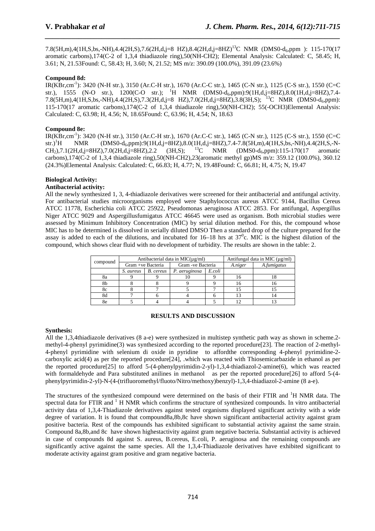7.8(5H,m),4(1H,S,bs,-NH),4.4(2H,S),7.6(2H,d,j=8 HZ),8.4(2H,d,j=8HZ)<sup>13</sup>C NMR (DMS0-d<sub>6</sub>,ppm ): 115-170(17 aromatic carbons),174(C-2 of 1,3,4 thiadiazole ring),50(NH-CH2); Elemental Analysis: Calculated: C, 58.45; H, 3.61; N, 21.53Found: C, 58.43; H, 3.60; N, 21.52; MS m/z: 390.09 (100.0%), 391.09 (23.6%)

*\_\_\_\_\_\_\_\_\_\_\_\_\_\_\_\_\_\_\_\_\_\_\_\_\_\_\_\_\_\_\_\_\_\_\_\_\_\_\_\_\_\_\_\_\_\_\_\_\_\_\_\_\_\_\_\_\_\_\_\_\_\_\_\_\_\_\_\_\_\_\_\_\_\_\_\_\_\_*

#### **Compound 8d:**

IR(KBr,cm-1): 3420 (N-H str.), 3150 (Ar.C-H str.), 1670 (Ar.C-C str.), 1465 (C-N str.), 1125 (C-S str.), 1550 (C=C str.), 1555 (N-O str.), 1200(C-O str.); <sup>1</sup>H NMR (DMS0-d<sub>6</sub>,ppm):9(1H,d,j=8HZ),8.0(1H,d,j=8HZ),7.4-7.8(5H,m),4(1H,S,bs,-NH),4.4(2H,S),7.3(2H,d,j=8 HZ),7.0(2H,d,j=8HZ),3.8(3H,S);<sup>13</sup>C NMR (DMS0-d<sub>6</sub>,ppm): 115-170(17 aromatic carbons),174(C-2 of 1,3,4 thiadiazole ring),50(NH-CH2); 55(-OCH3)Elemental Analysis: Calculated: C, 63.98; H, 4.56; N, 18.65Found: C, 63.96; H, 4.54; N, 18.63

#### **Compound 8e:**

IR(KBr,cm-1): 3420 (N-H str.), 3150 (Ar.C-H str.), 1670 (Ar.C-C str.), 1465 (C-N str.), 1125 (C-S str.), 1550 (C=C str.)<sup>1</sup>H NMR (DMS0-d<sub>6</sub>,ppm):9(1H,d,j=8HZ),8.0(1H,d,j=8HZ),7.4-7.8(5H,m),4(1H,S,bs,-NH),4.4(2H,S,-N-<br>CH<sub>2</sub>),7.1(2H,d,j=8HZ),7.0(2H,d,j=8HZ),2.2 (3H,S); <sup>13</sup>C NMR (DMS0-d<sub>6</sub>,ppm):115-170(17 aromatic  $CH<sub>2</sub>$ ),7.1(2H,d,j=8HZ),7.0(2H,d,j=8HZ),2.2 (3H,S);  $^{13}$ C NMR (DMS0-d<sub>6</sub>,ppm):115-170(17 aromatic carbons),174(C-2 of 1,3,4 thiadiazole ring),50(NH-CH2),23(aromatic methyl gp)MS m/z: 359.12 (100.0%), 360.12 (24.3%)Elemental Analysis: Calculated: C, 66.83; H, 4.77; N, 19.48Found: C, 66.81; H, 4.75; N, 19.47

# **Biological Activity:**

#### **Antibacterial activity:**

All the newly synthesized 1, 3, 4-thiadiazole derivatives were screened for their antibacterial and antifungal activity. For antibacterial studies microorganisms employed were Staphylococcus aureus ATCC 9144, Bacillus Cereus ATCC 11778, Escherichia coli ATCC 25922, Pseudomonas aeruginosa ATCC 2853. For antifungal, Aspergillus Niger ATCC 9029 and Aspergillusfumigatus ATCC 46645 were used as organism. Both microbial studies were assessed by Minimum Inhibitory Concentration (MIC) by serial dilution method. For this, the compound whose MIC has to be determined is dissolved in serially diluted DMSO Then a standard drop of the culture prepared for the assay is added to each of the dilutions, and incubated for  $16-18$  hrs at  $37^{\circ}$ c. MIC is the highest dilution of the compound, which shows clear fluid with no development of turbidity. The results are shown in the table: 2.

| compound | Antibacterial data in $MIC(\mu g/ml)$ |           |                    |        | Antifungal data in MIC $(\mu g/ml)$ |             |
|----------|---------------------------------------|-----------|--------------------|--------|-------------------------------------|-------------|
|          | Gram +ve Bacteria                     |           | Gram - ve Bacteria |        | A.niger                             | A.fumigatus |
|          | S. aureus                             | B. cereus | P. aeruginosa      | E.coli |                                     |             |
| 8a       |                                       |           |                    |        | 16                                  |             |
| 8b       |                                       |           |                    |        | 16                                  |             |
| 8c       |                                       |           |                    |        |                                     |             |
| 8d       |                                       |           |                    |        |                                     |             |
|          |                                       |           |                    |        |                                     |             |

#### **RESULTS AND DISCUSSION**

#### **Synthesis:**

All the 1,3,4thiadiazole derivatives (8 a-e) were synthesized in multistep synthetic path way as shown in scheme.2 methyl-4-phenyl pyrimidine(3) was synthesized according to the reported procedure[23]. The reaction of 2-methyl-4-phenyl pyrimidine with selenium di oxide in pyridine to affordthe corresponding 4-phenyl pyrimidine-2 carboxylic acid(4) as per the reported procedure[24], .which was reacted with Thiosemicarbazide in ethanol as per the reported procedure[25] to afford 5-(4-phenylpyrimidin-2-yl)-1,3,4-thiadiazol-2-amine(6), which was reacted with formaldehyde and Para substituted anilines in methanol as per the reported procedure[26] to afford 5-(4phenylpyrimidin-2-yl)-N-(4-(trifluoromethyl/fluoto/Nitro/methoxy)benzyl)-1,3,4-thiadiazol-2-amine (8 a-e).

The structures of the synthesized compound were determined on the basis of their FTIR and <sup>1</sup>H NMR data. The spectral data for FTIR and  $<sup>1</sup>$  H NMR which confirms the structure of synthesized compounds. In vitro antibacterial</sup> activity data of 1,3,4-Thiadiazole derivatives against tested organisms displayed significant activity with a wide degree of variation. It is found that compound8a,8b,8c have shown significant antibacterial activity against gram positive bacteria. Rest of the compounds has exhibited significant to substantial activity against the same strain. Compound 8a,8b,and 8c have shown highestactivity against gram negative bacteria. Substantial activity is achieved in case of compounds 8d against S. aureus, B.cereus, E.coli, P. aeruginosa and the remaining compounds are significantly active against the same species. All the 1,3,4-Thiadiazole derivatives have exhibited significant to moderate activity against gram positive and gram negative bacteria.